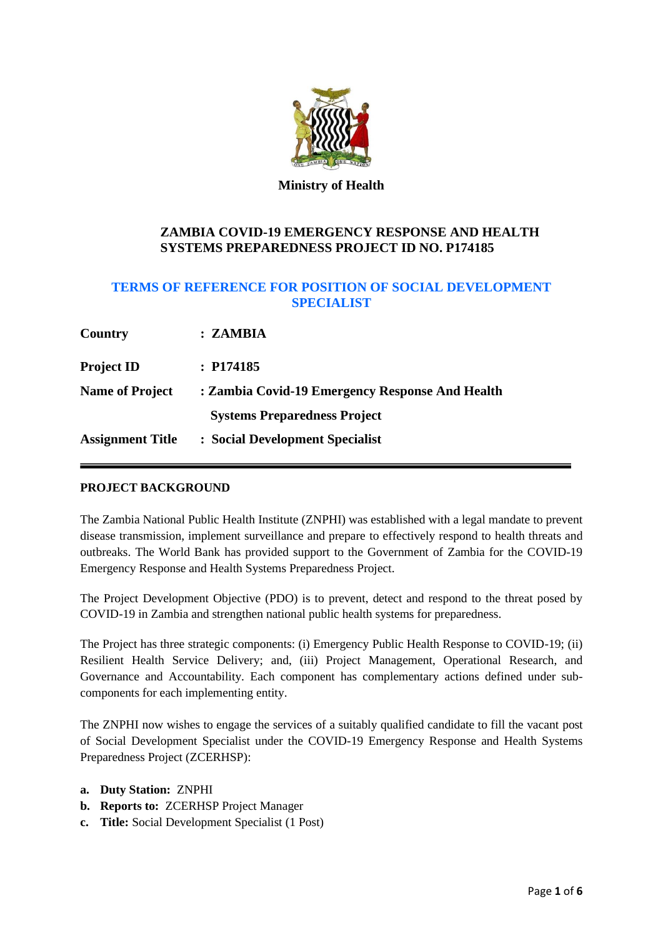

### **Ministry of Health**

# **ZAMBIA COVID-19 EMERGENCY RESPONSE AND HEALTH SYSTEMS PREPAREDNESS PROJECT ID NO. P174185**

# **TERMS OF REFERENCE FOR POSITION OF SOCIAL DEVELOPMENT SPECIALIST**

| Country                 | : ZAMBIA                                        |  |
|-------------------------|-------------------------------------------------|--|
| <b>Project ID</b>       | : P174185                                       |  |
| <b>Name of Project</b>  | : Zambia Covid-19 Emergency Response And Health |  |
|                         | <b>Systems Preparedness Project</b>             |  |
| <b>Assignment Title</b> | : Social Development Specialist                 |  |

## **PROJECT BACKGROUND**

The Zambia National Public Health Institute (ZNPHI) was established with a legal mandate to prevent disease transmission, implement surveillance and prepare to effectively respond to health threats and outbreaks. The World Bank has provided support to the Government of Zambia for the COVID-19 Emergency Response and Health Systems Preparedness Project.

The Project Development Objective (PDO) is to prevent, detect and respond to the threat posed by COVID-19 in Zambia and strengthen national public health systems for preparedness.

The Project has three strategic components: (i) Emergency Public Health Response to COVID-19; (ii) Resilient Health Service Delivery; and, (iii) Project Management, Operational Research, and Governance and Accountability. Each component has complementary actions defined under subcomponents for each implementing entity.

The ZNPHI now wishes to engage the services of a suitably qualified candidate to fill the vacant post of Social Development Specialist under the COVID-19 Emergency Response and Health Systems Preparedness Project (ZCERHSP):

- **a. Duty Station:** ZNPHI
- **b. Reports to:** ZCERHSP Project Manager
- **c. Title:** Social Development Specialist (1 Post)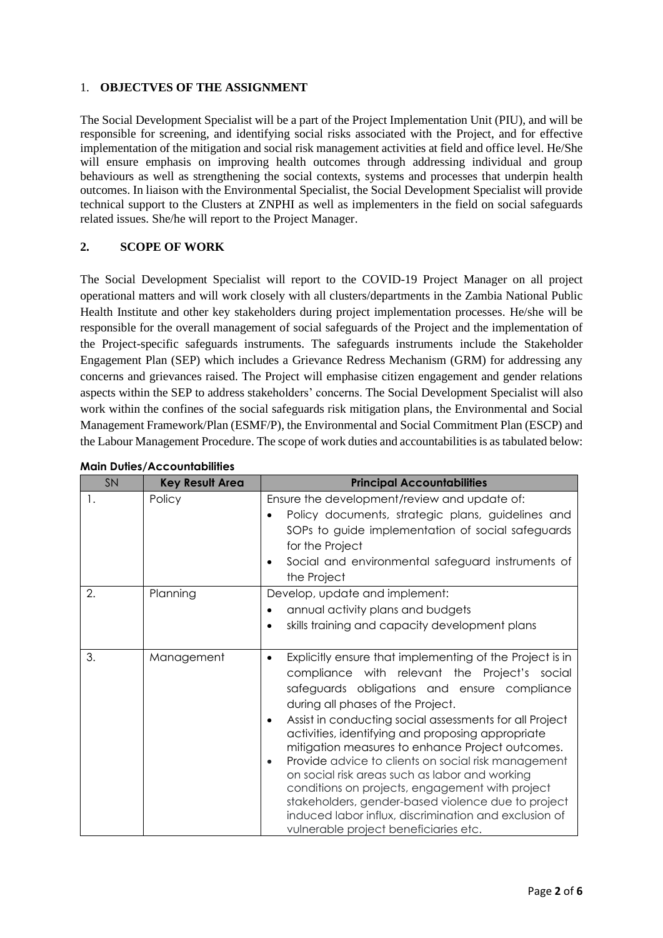### 1. **OBJECTVES OF THE ASSIGNMENT**

The Social Development Specialist will be a part of the Project Implementation Unit (PIU), and will be responsible for screening, and identifying social risks associated with the Project, and for effective implementation of the mitigation and social risk management activities at field and office level. He/She will ensure emphasis on improving health outcomes through addressing individual and group behaviours as well as strengthening the social contexts, systems and processes that underpin health outcomes. In liaison with the Environmental Specialist, the Social Development Specialist will provide technical support to the Clusters at ZNPHI as well as implementers in the field on social safeguards related issues. She/he will report to the Project Manager.

## **2. SCOPE OF WORK**

The Social Development Specialist will report to the COVID-19 Project Manager on all project operational matters and will work closely with all clusters/departments in the Zambia National Public Health Institute and other key stakeholders during project implementation processes. He/she will be responsible for the overall management of social safeguards of the Project and the implementation of the Project-specific safeguards instruments. The safeguards instruments include the Stakeholder Engagement Plan (SEP) which includes a Grievance Redress Mechanism (GRM) for addressing any concerns and grievances raised. The Project will emphasise citizen engagement and gender relations aspects within the SEP to address stakeholders' concerns. The Social Development Specialist will also work within the confines of the social safeguards risk mitigation plans, the Environmental and Social Management Framework/Plan (ESMF/P), the Environmental and Social Commitment Plan (ESCP) and the Labour Management Procedure. The scope of work duties and accountabilities is as tabulated below:

| SN | <b>Key Result Area</b> | <b>Principal Accountabilities</b>                                                                                                                                                                                                                                                                                                                                                                                                                                                                                                                                                                                                                                                                                             |
|----|------------------------|-------------------------------------------------------------------------------------------------------------------------------------------------------------------------------------------------------------------------------------------------------------------------------------------------------------------------------------------------------------------------------------------------------------------------------------------------------------------------------------------------------------------------------------------------------------------------------------------------------------------------------------------------------------------------------------------------------------------------------|
| 1. | Policy                 | Ensure the development/review and update of:<br>Policy documents, strategic plans, guidelines and<br>SOPs to guide implementation of social safeguards<br>for the Project<br>Social and environmental safeguard instruments of<br>$\bullet$<br>the Project                                                                                                                                                                                                                                                                                                                                                                                                                                                                    |
| 2. | Planning               | Develop, update and implement:<br>annual activity plans and budgets<br>$\bullet$<br>skills training and capacity development plans<br>$\bullet$                                                                                                                                                                                                                                                                                                                                                                                                                                                                                                                                                                               |
| 3. | Management             | Explicitly ensure that implementing of the Project is in<br>$\bullet$<br>compliance with relevant the Project's social<br>safeguards obligations and ensure compliance<br>during all phases of the Project.<br>Assist in conducting social assessments for all Project<br>$\bullet$<br>activities, identifying and proposing appropriate<br>mitigation measures to enhance Project outcomes.<br>Provide advice to clients on social risk management<br>$\bullet$<br>on social risk areas such as labor and working<br>conditions on projects, engagement with project<br>stakeholders, gender-based violence due to project<br>induced labor influx, discrimination and exclusion of<br>vulnerable project beneficiaries etc. |

### **Main Duties/Accountabilities**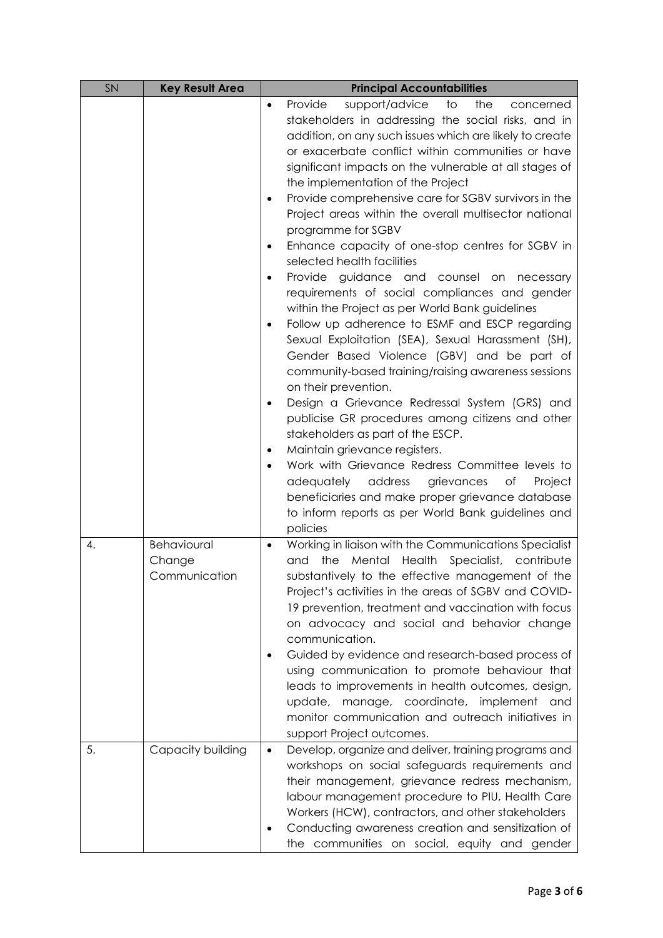| SN | <b>Key Result Area</b> | <b>Principal Accountabilities</b>                                                                     |
|----|------------------------|-------------------------------------------------------------------------------------------------------|
|    |                        | support/advice<br>Provide<br>to<br>the<br>concerned<br>$\bullet$                                      |
|    |                        | stakeholders in addressing the social risks, and in                                                   |
|    |                        | addition, on any such issues which are likely to create                                               |
|    |                        | or exacerbate conflict within communities or have                                                     |
|    |                        | significant impacts on the vulnerable at all stages of                                                |
|    |                        | the implementation of the Project                                                                     |
|    |                        | Provide comprehensive care for SGBV survivors in the<br>$\bullet$                                     |
|    |                        | Project areas within the overall multisector national                                                 |
|    |                        | programme for SGBV                                                                                    |
|    |                        | Enhance capacity of one-stop centres for SGBV in<br>$\bullet$                                         |
|    |                        | selected health facilities                                                                            |
|    |                        | Provide guidance and counsel on necessary<br>$\bullet$                                                |
|    |                        | requirements of social compliances and gender                                                         |
|    |                        | within the Project as per World Bank guidelines                                                       |
|    |                        | Follow up adherence to ESMF and ESCP regarding<br>$\bullet$                                           |
|    |                        | Sexual Exploitation (SEA), Sexual Harassment (SH),                                                    |
|    |                        | Gender Based Violence (GBV) and be part of                                                            |
|    |                        | community-based training/raising awareness sessions                                                   |
|    |                        | on their prevention.<br>Design a Grievance Redressal System (GRS) and<br>$\bullet$                    |
|    |                        | publicise GR procedures among citizens and other                                                      |
|    |                        | stakeholders as part of the ESCP.                                                                     |
|    |                        | Maintain grievance registers.<br>$\bullet$                                                            |
|    |                        | Work with Grievance Redress Committee levels to<br>$\bullet$                                          |
|    |                        | adequately<br>address<br>grievances<br>Project<br>Оf                                                  |
|    |                        | beneficiaries and make proper grievance database                                                      |
|    |                        | to inform reports as per World Bank guidelines and                                                    |
|    |                        | policies                                                                                              |
| 4. | Behavioural            | Working in liaison with the Communications Specialist<br>$\bullet$                                    |
|    | Change                 | the<br>Mental Health Specialist, contribute<br>and                                                    |
|    | Communication          | substantively to the effective management of the                                                      |
|    |                        | Project's activities in the areas of SGBV and COVID-                                                  |
|    |                        | 19 prevention, treatment and vaccination with focus                                                   |
|    |                        | on advocacy and social and behavior change                                                            |
|    |                        | communication.                                                                                        |
|    |                        | Guided by evidence and research-based process of                                                      |
|    |                        | using communication to promote behaviour that                                                         |
|    |                        | leads to improvements in health outcomes, design,                                                     |
|    |                        | update, manage, coordinate, implement and                                                             |
|    |                        | monitor communication and outreach initiatives in                                                     |
|    |                        | support Project outcomes.                                                                             |
| 5. | Capacity building      | Develop, organize and deliver, training programs and<br>$\bullet$                                     |
|    |                        | workshops on social safeguards requirements and                                                       |
|    |                        | their management, grievance redress mechanism,                                                        |
|    |                        | labour management procedure to PIU, Health Care<br>Workers (HCW), contractors, and other stakeholders |
|    |                        | Conducting awareness creation and sensitization of                                                    |
|    |                        | the communities on social, equity and gender                                                          |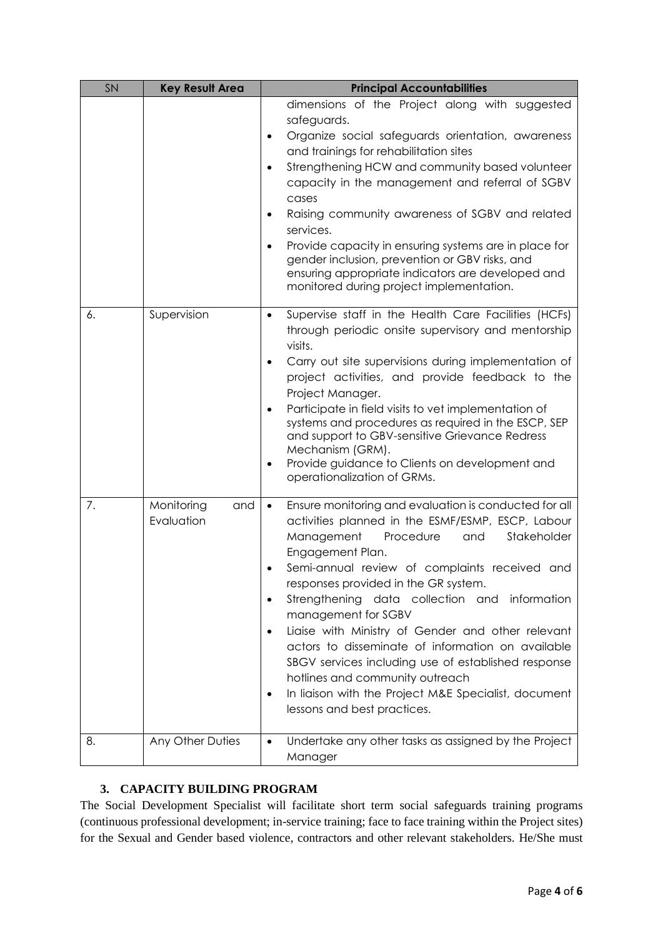| SN | <b>Key Result Area</b>          | <b>Principal Accountabilities</b>                                                                                                                                                                                                                                                                                                                                                                                                                                                                                                                                                                                                                                                               |
|----|---------------------------------|-------------------------------------------------------------------------------------------------------------------------------------------------------------------------------------------------------------------------------------------------------------------------------------------------------------------------------------------------------------------------------------------------------------------------------------------------------------------------------------------------------------------------------------------------------------------------------------------------------------------------------------------------------------------------------------------------|
|    |                                 | dimensions of the Project along with suggested<br>safeguards.<br>Organize social safeguards orientation, awareness<br>$\bullet$<br>and trainings for rehabilitation sites<br>Strengthening HCW and community based volunteer<br>$\bullet$<br>capacity in the management and referral of SGBV<br>cases<br>Raising community awareness of SGBV and related<br>$\bullet$<br>services.<br>Provide capacity in ensuring systems are in place for<br>$\bullet$<br>gender inclusion, prevention or GBV risks, and<br>ensuring appropriate indicators are developed and<br>monitored during project implementation.                                                                                     |
| 6. | Supervision                     | Supervise staff in the Health Care Facilities (HCFs)<br>$\bullet$<br>through periodic onsite supervisory and mentorship<br>visits.<br>Carry out site supervisions during implementation of<br>$\bullet$<br>project activities, and provide feedback to the<br>Project Manager.<br>Participate in field visits to vet implementation of<br>$\bullet$<br>systems and procedures as required in the ESCP, SEP<br>and support to GBV-sensitive Grievance Redress<br>Mechanism (GRM).<br>Provide guidance to Clients on development and<br>$\bullet$<br>operationalization of GRMs.                                                                                                                  |
| 7. | Monitoring<br>and<br>Evaluation | Ensure monitoring and evaluation is conducted for all<br>$\bullet$<br>activities planned in the ESMF/ESMP, ESCP, Labour<br>Stakeholder<br>Management<br>Procedure<br>and<br>Engagement Plan.<br>Semi-annual review of complaints received and<br>responses provided in the GR system.<br>Strengthening data collection and information<br>$\bullet$<br>management for SGBV<br>Liaise with Ministry of Gender and other relevant<br>$\bullet$<br>actors to disseminate of information on available<br>SBGV services including use of established response<br>hotlines and community outreach<br>In liaison with the Project M&E Specialist, document<br>$\bullet$<br>lessons and best practices. |
| 8. | Any Other Duties                | Undertake any other tasks as assigned by the Project<br>$\bullet$<br>Manager                                                                                                                                                                                                                                                                                                                                                                                                                                                                                                                                                                                                                    |

# **3. CAPACITY BUILDING PROGRAM**

The Social Development Specialist will facilitate short term social safeguards training programs (continuous professional development; in-service training; face to face training within the Project sites) for the Sexual and Gender based violence, contractors and other relevant stakeholders. He/She must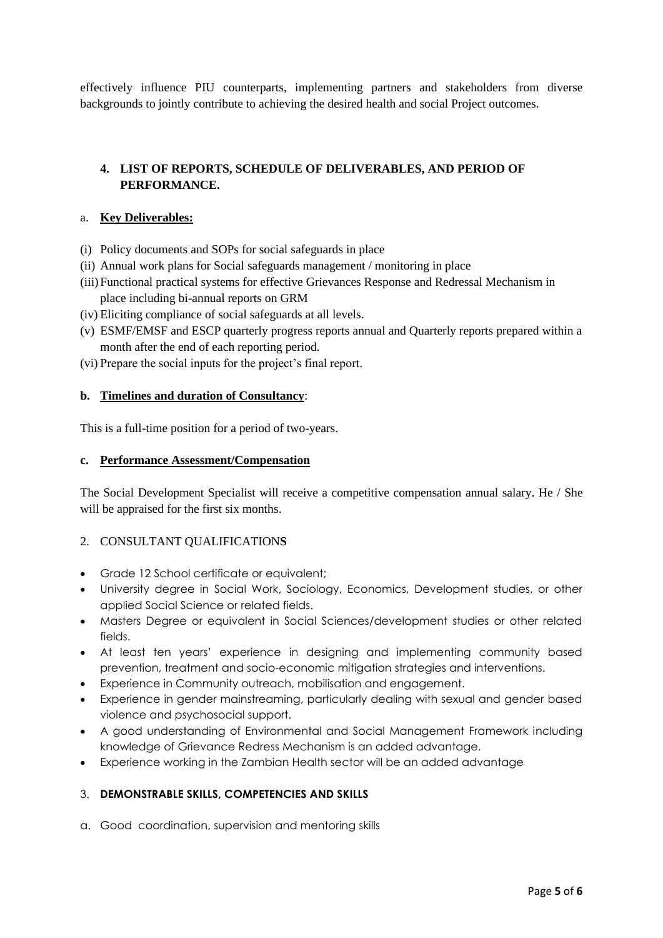effectively influence PIU counterparts, implementing partners and stakeholders from diverse backgrounds to jointly contribute to achieving the desired health and social Project outcomes.

# **4. LIST OF REPORTS, SCHEDULE OF DELIVERABLES, AND PERIOD OF PERFORMANCE.**

### a. **Key Deliverables:**

- (i) Policy documents and SOPs for social safeguards in place
- (ii) Annual work plans for Social safeguards management / monitoring in place
- (iii)Functional practical systems for effective Grievances Response and Redressal Mechanism in place including bi-annual reports on GRM
- (iv) Eliciting compliance of social safeguards at all levels.
- (v) ESMF/EMSF and ESCP quarterly progress reports annual and Quarterly reports prepared within a month after the end of each reporting period.
- (vi) Prepare the social inputs for the project's final report.

### **b. Timelines and duration of Consultancy**:

This is a full-time position for a period of two-years.

#### **c. Performance Assessment/Compensation**

The Social Development Specialist will receive a competitive compensation annual salary. He / She will be appraised for the first six months.

## 2. CONSULTANT QUALIFICATION**S**

- Grade 12 School certificate or equivalent;
- University degree in Social Work, Sociology, Economics, Development studies, or other applied Social Science or related fields.
- Masters Degree or equivalent in Social Sciences/development studies or other related fields.
- At least ten years' experience in designing and implementing community based prevention, treatment and socio-economic mitigation strategies and interventions.
- Experience in Community outreach, mobilisation and engagement.
- Experience in gender mainstreaming, particularly dealing with sexual and gender based violence and psychosocial support.
- A good understanding of Environmental and Social Management Framework including knowledge of Grievance Redress Mechanism is an added advantage.
- Experience working in the Zambian Health sector will be an added advantage

## 3. **DEMONSTRABLE SKILLS, COMPETENCIES AND SKILLS**

a. Good coordination, supervision and mentoring skills